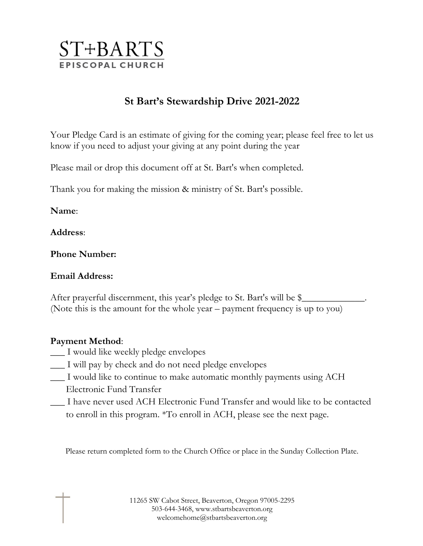

## **St Bart's Stewardship Drive 2021-2022**

Your Pledge Card is an estimate of giving for the coming year; please feel free to let us know if you need to adjust your giving at any point during the year

Please mail or drop this document off at St. Bart's when completed.

Thank you for making the mission & ministry of St. Bart's possible.

**Name**:

**Address**:

**Phone Number:**

## **Email Address:**

After prayerful discernment, this year's pledge to St. Bart's will be  $\frac{1}{2}$ (Note this is the amount for the whole year – payment frequency is up to you)

## **Payment Method**:

- \_\_\_ I would like weekly pledge envelopes
- \_\_\_ I will pay by check and do not need pledge envelopes
- \_\_\_ I would like to continue to make automatic monthly payments using ACH Electronic Fund Transfer
- \_\_\_ I have never used ACH Electronic Fund Transfer and would like to be contacted to enroll in this program. \*To enroll in ACH, please see the next page.

Please return completed form to the Church Office or place in the Sunday Collection Plate.

11265 SW Cabot Street, Beaverton, Oregon 97005-2295 503-644-3468, www.stbartsbeaverton.org welcomehome@stbartsbeaverton.org